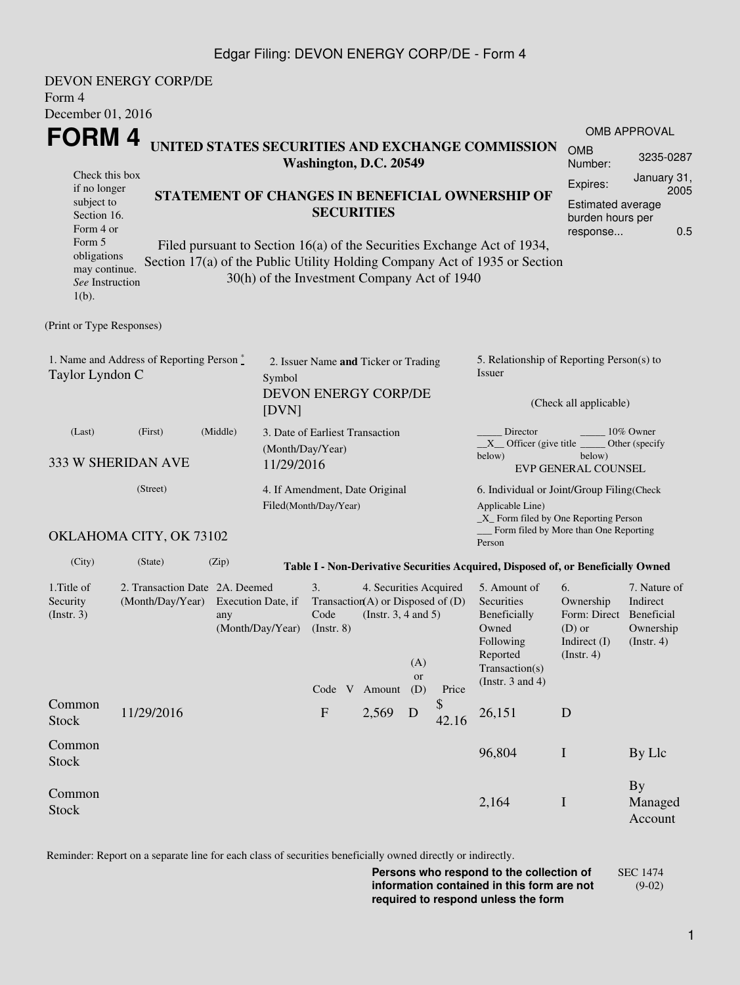### Edgar Filing: DEVON ENERGY CORP/DE - Form 4

| Form 4<br>December 01, 2016                                                                                                                       | <b>DEVON ENERGY CORP/DE</b>                                                          |                                                                                                                                                                                                                                                         |                                                                                  |                                                              |                         |             |                                                                                                                                                    |                                                                                      |                                                     |  |  |
|---------------------------------------------------------------------------------------------------------------------------------------------------|--------------------------------------------------------------------------------------|---------------------------------------------------------------------------------------------------------------------------------------------------------------------------------------------------------------------------------------------------------|----------------------------------------------------------------------------------|--------------------------------------------------------------|-------------------------|-------------|----------------------------------------------------------------------------------------------------------------------------------------------------|--------------------------------------------------------------------------------------|-----------------------------------------------------|--|--|
|                                                                                                                                                   | FORM 4<br>UNITED STATES SECURITIES AND EXCHANGE COMMISSION<br>Washington, D.C. 20549 |                                                                                                                                                                                                                                                         |                                                                                  |                                                              |                         |             |                                                                                                                                                    | <b>OMB</b><br>Number:                                                                | <b>OMB APPROVAL</b><br>3235-0287                    |  |  |
| Check this box<br>if no longer<br>subject to<br>Section 16.<br>Form 4 or<br>Form 5<br>obligations<br>may continue.<br>See Instruction<br>$1(b)$ . |                                                                                      | STATEMENT OF CHANGES IN BENEFICIAL OWNERSHIP OF<br>Filed pursuant to Section 16(a) of the Securities Exchange Act of 1934,<br>Section 17(a) of the Public Utility Holding Company Act of 1935 or Section<br>30(h) of the Investment Company Act of 1940 | <b>SECURITIES</b>                                                                |                                                              |                         |             |                                                                                                                                                    | Expires:<br><b>Estimated average</b><br>burden hours per<br>response                 | January 31,<br>2005<br>0.5                          |  |  |
| (Print or Type Responses)                                                                                                                         |                                                                                      |                                                                                                                                                                                                                                                         |                                                                                  |                                                              |                         |             |                                                                                                                                                    |                                                                                      |                                                     |  |  |
| Taylor Lyndon C                                                                                                                                   | 1. Name and Address of Reporting Person $\stackrel{*}{\mathbb{L}}$                   | Symbol<br>[DVN]                                                                                                                                                                                                                                         | 2. Issuer Name and Ticker or Trading<br><b>DEVON ENERGY CORP/DE</b>              |                                                              |                         |             | 5. Relationship of Reporting Person(s) to<br>Issuer<br>(Check all applicable)                                                                      |                                                                                      |                                                     |  |  |
| (Last)                                                                                                                                            | (First)<br>333 W SHERIDAN AVE                                                        | (Middle)<br>(Month/Day/Year)<br>11/29/2016                                                                                                                                                                                                              | 3. Date of Earliest Transaction                                                  |                                                              |                         |             | Director<br>10% Owner<br>$X$ Officer (give title $\overline{\phantom{a}}$<br>Other (specify<br>below)<br>below)<br><b>EVP GENERAL COUNSEL</b>      |                                                                                      |                                                     |  |  |
|                                                                                                                                                   | (Street)                                                                             |                                                                                                                                                                                                                                                         | 4. If Amendment, Date Original<br>Filed(Month/Day/Year)                          |                                                              |                         |             | 6. Individual or Joint/Group Filing(Check<br>Applicable Line)<br>$\_X$ Form filed by One Reporting Person<br>Form filed by More than One Reporting |                                                                                      |                                                     |  |  |
|                                                                                                                                                   | OKLAHOMA CITY, OK 73102                                                              |                                                                                                                                                                                                                                                         |                                                                                  |                                                              |                         |             | Person                                                                                                                                             |                                                                                      |                                                     |  |  |
| (City)                                                                                                                                            | (State)                                                                              | (Zip)                                                                                                                                                                                                                                                   | Table I - Non-Derivative Securities Acquired, Disposed of, or Beneficially Owned |                                                              |                         |             |                                                                                                                                                    |                                                                                      |                                                     |  |  |
| 1. Title of<br>Security<br>(Insert. 3)                                                                                                            | 2. Transaction Date 2A. Deemed<br>(Month/Day/Year)                                   | Execution Date, if<br>any<br>(Month/Day/Year)                                                                                                                                                                                                           | 3.<br>Transaction(A) or Disposed of $(D)$<br>Code<br>$($ Instr. $8)$<br>Code V   | 4. Securities Acquired<br>(Instr. $3, 4$ and $5$ )<br>Amount | (A)<br><b>or</b><br>(D) | Price       | 5. Amount of<br>Securities<br>Beneficially<br>Owned<br>Following<br>Reported<br>Transaction(s)<br>(Instr. $3$ and $4$ )                            | 6.<br>Ownership<br>Form: Direct Beneficial<br>$(D)$ or<br>Indirect (I)<br>(Instr. 4) | 7. Nature of<br>Indirect<br>Ownership<br>(Instr. 4) |  |  |
| Common<br><b>Stock</b>                                                                                                                            | 11/29/2016                                                                           |                                                                                                                                                                                                                                                         | ${\bf F}$                                                                        | 2,569                                                        | D                       | \$<br>42.16 | 26,151                                                                                                                                             | D                                                                                    |                                                     |  |  |
| Common<br><b>Stock</b>                                                                                                                            |                                                                                      |                                                                                                                                                                                                                                                         |                                                                                  |                                                              |                         |             | 96,804                                                                                                                                             | $\bf{I}$                                                                             | By Llc                                              |  |  |
| Common<br><b>Stock</b>                                                                                                                            |                                                                                      |                                                                                                                                                                                                                                                         |                                                                                  |                                                              |                         |             | 2,164                                                                                                                                              | I                                                                                    | <b>By</b><br>Managed<br>Account                     |  |  |

Reminder: Report on a separate line for each class of securities beneficially owned directly or indirectly.

**Persons who respond to the collection of information contained in this form are not required to respond unless the form** SEC 1474 (9-02)